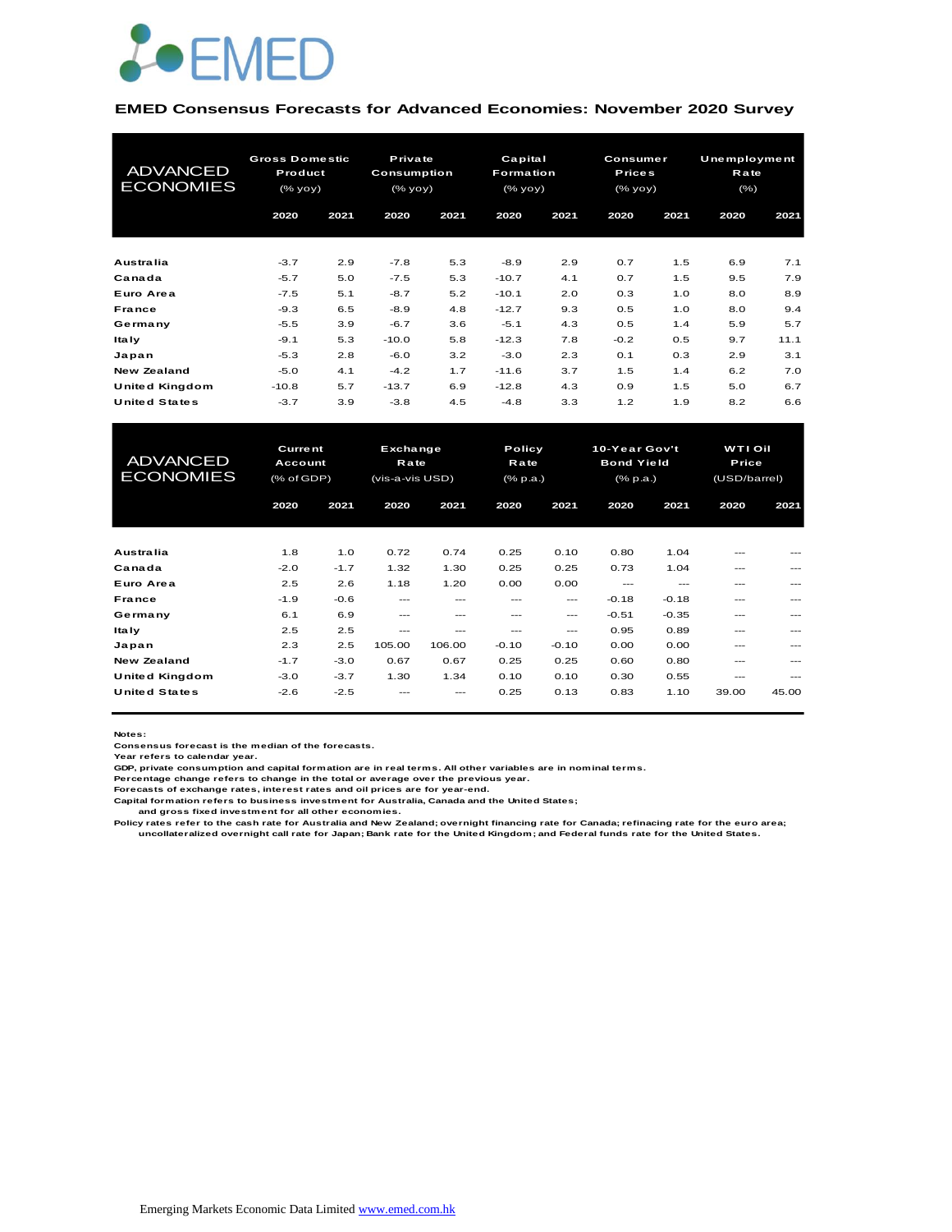

#### **EMED Consensus Forecasts for Advanced Economies: November 2020 Survey**

| <b>ADVANCED</b><br><b>ECONOMIES</b> |         | <b>Gross Domestic</b><br>Product<br>(% |         | Private<br>Capital<br><b>Consumption</b><br>Formation<br>(% yoy)<br>(% yoy) |         |      | <b>Consumer</b><br><b>Prices</b><br>(% |      | <b>Unemployment</b><br><b>Rate</b><br>$(\% )$ |      |
|-------------------------------------|---------|----------------------------------------|---------|-----------------------------------------------------------------------------|---------|------|----------------------------------------|------|-----------------------------------------------|------|
|                                     | 2020    | 2021                                   | 2020    | 2021                                                                        | 2020    | 2021 | 2020                                   | 2021 | 2020                                          | 2021 |
| Australia                           | $-3.7$  | 2.9                                    | $-7.8$  | 5.3                                                                         | $-8.9$  | 2.9  | 0.7                                    | 1.5  | 6.9                                           | 7.1  |
| Canada                              | $-5.7$  | 5.0                                    | $-7.5$  | 5.3                                                                         | $-10.7$ | 4.1  | 0.7                                    | 1.5  | 9.5                                           | 7.9  |
| Euro Area                           | $-7.5$  | 5.1                                    | $-8.7$  | 5.2                                                                         | $-10.1$ | 2.0  | 0.3                                    | 1.0  | 8.0                                           | 8.9  |
| <b>France</b>                       | $-9.3$  | 6.5                                    | $-8.9$  | 4.8                                                                         | $-12.7$ | 9.3  | 0.5                                    | 1.0  | 8.0                                           | 9.4  |
| Germany                             | $-5.5$  | 3.9                                    | $-6.7$  | 3.6                                                                         | $-5.1$  | 4.3  | 0.5                                    | 1.4  | 5.9                                           | 5.7  |
| Italy                               | $-9.1$  | 5.3                                    | $-10.0$ | 5.8                                                                         | $-12.3$ | 7.8  | $-0.2$                                 | 0.5  | 9.7                                           | 11.1 |
| Japan                               | $-5.3$  | 2.8                                    | $-6.0$  | 3.2                                                                         | $-3.0$  | 2.3  | 0.1                                    | 0.3  | 2.9                                           | 3.1  |
| New Zealand                         | $-5.0$  | 4.1                                    | $-4.2$  | 1.7                                                                         | $-11.6$ | 3.7  | 1.5                                    | 1.4  | 6.2                                           | 7.0  |
| United Kingdom                      | $-10.8$ | 5.7                                    | $-13.7$ | 6.9                                                                         | $-12.8$ | 4.3  | 0.9                                    | 1.5  | 5.0                                           | 6.7  |
| <b>United States</b>                | $-3.7$  | 3.9                                    | $-3.8$  | 4.5                                                                         | $-4.8$  | 3.3  | 1.2                                    | 1.9  | 8.2                                           | 6.6  |

| United Kingdom                      | $-10.8$                                 | 5.7    | $-13.7$                                    | 6.9    | $-12.8$                    | 4.3     | 0.9                                              | 1.5     | 5.0                                     | 6.7   |
|-------------------------------------|-----------------------------------------|--------|--------------------------------------------|--------|----------------------------|---------|--------------------------------------------------|---------|-----------------------------------------|-------|
| <b>United States</b>                | $-3.7$                                  | 3.9    | $-3.8$                                     | 4.5    | $-4.8$                     | 3.3     | 1.2                                              | 1.9     | 8.2                                     | 6.6   |
|                                     |                                         |        |                                            |        |                            |         |                                                  |         |                                         |       |
| <b>ADVANCED</b><br><b>ECONOMIES</b> | <b>Current</b><br>Account<br>(% of GDP) |        | Exchange<br><b>Rate</b><br>(vis-a-vis USD) |        | Policy<br>Rate<br>(% p.a.) |         | 10-Year Gov't<br><b>Bond Yield</b><br>$(*$ p.a.) |         | <b>WTI Oil</b><br>Price<br>(USD/barrel) |       |
|                                     | 2020                                    | 2021   | 2020                                       | 2021   | 2020                       | 2021    | 2020                                             | 2021    | 2020                                    | 2021  |
|                                     |                                         |        |                                            |        |                            |         |                                                  |         |                                         |       |
| Australia                           | 1.8                                     | 1.0    | 0.72                                       | 0.74   | 0.25                       | 0.10    | 0.80                                             | 1.04    | ---                                     |       |
| Canada                              | $-2.0$                                  | $-1.7$ | 1.32                                       | 1.30   | 0.25                       | 0.25    | 0.73                                             | 1.04    | ---                                     | ---   |
| Euro Area                           | 2.5                                     | 2.6    | 1.18                                       | 1.20   | 0.00                       | 0.00    | $---$                                            | $---$   | ---                                     |       |
| France                              | $-1.9$                                  | $-0.6$ | $---$                                      | $---$  | $---$                      | ---     | $-0.18$                                          | $-0.18$ | ---                                     | ---   |
| Germany                             | 6.1                                     | 6.9    | $---$                                      | ---    | ---                        | $---$   | $-0.51$                                          | $-0.35$ | ---                                     |       |
| <b>Italy</b>                        | 2.5                                     | 2.5    | $---$                                      | ---    | ---                        | ---     | 0.95                                             | 0.89    | ---                                     |       |
| Japan                               | 2.3                                     | 2.5    | 105.00                                     | 106.00 | $-0.10$                    | $-0.10$ | 0.00                                             | 0.00    | ---                                     |       |
| <b>New Zealand</b>                  | $-1.7$                                  | $-3.0$ | 0.67                                       | 0.67   | 0.25                       | 0.25    | 0.60                                             | 0.80    | ---                                     |       |
| <b>United Kingdom</b>               | $-3.0$                                  | $-3.7$ | 1.30                                       | 1.34   | 0.10                       | 0.10    | 0.30                                             | 0.55    | $---$                                   | $---$ |
| <b>United States</b>                | $-2.6$                                  | $-2.5$ |                                            | ---    | 0.25                       | 0.13    | 0.83                                             | 1.10    | 39.00                                   | 45.00 |

**Notes:** 

**Consensus forecast is the median of the forecasts. Year refers to calendar year.**

**GDP, private consumption and capital formation are in real terms. All other variables are in nominal terms.**

**Percentage change refers to change in the total or average over the previous year. Forecasts of exchange rates, interest rates and oil prices are for year-end.**

**Capital formation refers to business investment for Australia, Canada and the United States;**

 **and gross fixed investment for all other economies.**

Policy rates refer to the cash rate for Australia and New Zealand; overnight financing rate for Canada; refinacing rate for the euro area;<br>uncollateralized overnight call rate for Japan; Bank rate for the United Kingdom; a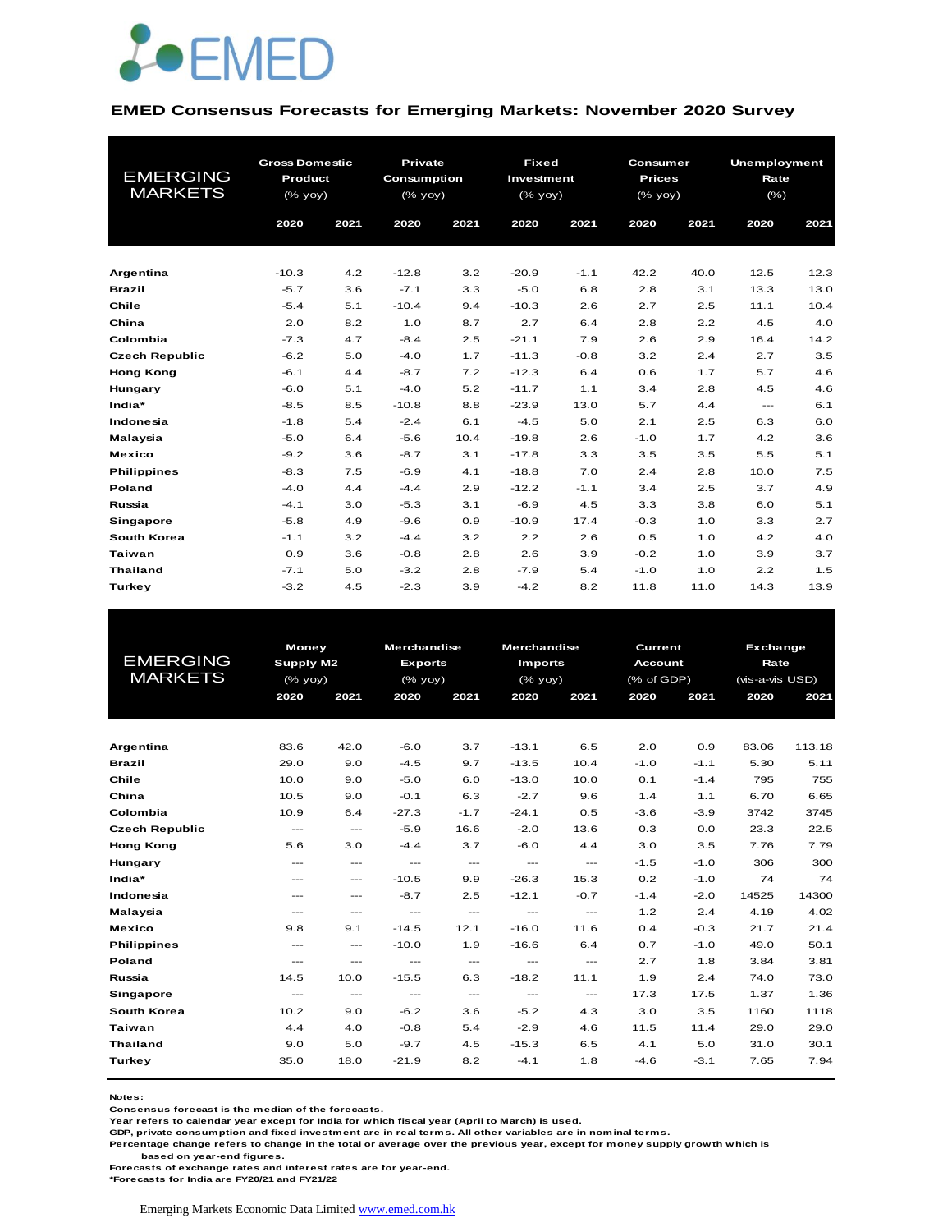

#### **EMED Consensus Forecasts for Emerging Markets: November 2020 Survey**

| <b>EMERGING</b><br><b>MARKETS</b> | <b>Gross Domestic</b><br>Product<br>(% yoy) |      | <b>Private</b><br>Consumption<br>(% yoy) |      | <b>Fixed</b><br>Investment<br>$(%$ $\sqrt{oy}$ $\sqrt{oy}$ ) |        | Consumer<br><b>Prices</b><br>$(%$ $\sqrt{)$ $\sqrt{)$ $\sqrt{)$ $\sqrt{)$ $\sqrt{)$ $\sqrt{)$ $\sqrt{)$ $\sqrt{)$ $\sqrt{) \sqrt{}}}$ |      | <b>Unemployment</b><br>Rate<br>$(\% )$ |      |
|-----------------------------------|---------------------------------------------|------|------------------------------------------|------|--------------------------------------------------------------|--------|---------------------------------------------------------------------------------------------------------------------------------------|------|----------------------------------------|------|
|                                   | 2020                                        | 2021 | 2020                                     | 2021 | 2020                                                         | 2021   | 2020                                                                                                                                  | 2021 | 2020                                   | 2021 |
|                                   |                                             |      |                                          |      |                                                              |        |                                                                                                                                       |      |                                        |      |
| Argentina                         | $-10.3$                                     | 4.2  | $-12.8$                                  | 3.2  | $-20.9$                                                      | $-1.1$ | 42.2                                                                                                                                  | 40.0 | 12.5                                   | 12.3 |
| <b>Brazil</b>                     | $-5.7$                                      | 3.6  | $-7.1$                                   | 3.3  | $-5.0$                                                       | 6.8    | 2.8                                                                                                                                   | 3.1  | 13.3                                   | 13.0 |
| Chile                             | $-5.4$                                      | 5.1  | $-10.4$                                  | 9.4  | $-10.3$                                                      | 2.6    | 2.7                                                                                                                                   | 2.5  | 11.1                                   | 10.4 |
| China                             | 2.0                                         | 8.2  | 1.0                                      | 8.7  | 2.7                                                          | 6.4    | 2.8                                                                                                                                   | 2.2  | 4.5                                    | 4.0  |
| Colombia                          | $-7.3$                                      | 4.7  | $-8.4$                                   | 2.5  | $-21.1$                                                      | 7.9    | 2.6                                                                                                                                   | 2.9  | 16.4                                   | 14.2 |
| <b>Czech Republic</b>             | $-6.2$                                      | 5.0  | $-4.0$                                   | 1.7  | $-11.3$                                                      | $-0.8$ | 3.2                                                                                                                                   | 2.4  | 2.7                                    | 3.5  |
| <b>Hong Kong</b>                  | $-6.1$                                      | 4.4  | $-8.7$                                   | 7.2  | $-12.3$                                                      | 6.4    | 0.6                                                                                                                                   | 1.7  | 5.7                                    | 4.6  |
| Hungary                           | $-6.0$                                      | 5.1  | $-4.0$                                   | 5.2  | $-11.7$                                                      | 1.1    | 3.4                                                                                                                                   | 2.8  | 4.5                                    | 4.6  |
| India*                            | $-8.5$                                      | 8.5  | $-10.8$                                  | 8.8  | $-23.9$                                                      | 13.0   | 5.7                                                                                                                                   | 4.4  | $\frac{1}{2}$                          | 6.1  |
| Indonesia                         | $-1.8$                                      | 5.4  | $-2.4$                                   | 6.1  | $-4.5$                                                       | 5.0    | 2.1                                                                                                                                   | 2.5  | 6.3                                    | 6.0  |
| Malaysia                          | $-5.0$                                      | 6.4  | $-5.6$                                   | 10.4 | $-19.8$                                                      | 2.6    | $-1.0$                                                                                                                                | 1.7  | 4.2                                    | 3.6  |
| <b>Mexico</b>                     | $-9.2$                                      | 3.6  | $-8.7$                                   | 3.1  | $-17.8$                                                      | 3.3    | 3.5                                                                                                                                   | 3.5  | 5.5                                    | 5.1  |
| <b>Philippines</b>                | $-8.3$                                      | 7.5  | $-6.9$                                   | 4.1  | $-18.8$                                                      | 7.0    | 2.4                                                                                                                                   | 2.8  | 10.0                                   | 7.5  |
| Poland                            | $-4.0$                                      | 4.4  | $-4.4$                                   | 2.9  | $-12.2$                                                      | $-1.1$ | 3.4                                                                                                                                   | 2.5  | 3.7                                    | 4.9  |
| Russia                            | $-4.1$                                      | 3.0  | $-5.3$                                   | 3.1  | $-6.9$                                                       | 4.5    | 3.3                                                                                                                                   | 3.8  | 6.0                                    | 5.1  |
| Singapore                         | $-5.8$                                      | 4.9  | $-9.6$                                   | 0.9  | $-10.9$                                                      | 17.4   | $-0.3$                                                                                                                                | 1.0  | 3.3                                    | 2.7  |
| South Korea                       | $-1.1$                                      | 3.2  | $-4.4$                                   | 3.2  | 2.2                                                          | 2.6    | 0.5                                                                                                                                   | 1.0  | 4.2                                    | 4.0  |
| <b>Taiwan</b>                     | 0.9                                         | 3.6  | $-0.8$                                   | 2.8  | 2.6                                                          | 3.9    | $-0.2$                                                                                                                                | 1.0  | 3.9                                    | 3.7  |
| <b>Thailand</b>                   | $-7.1$                                      | 5.0  | $-3.2$                                   | 2.8  | $-7.9$                                                       | 5.4    | $-1.0$                                                                                                                                | 1.0  | 2.2                                    | 1.5  |
| Turkey                            | $-3.2$                                      | 4.5  | $-2.3$                                   | 3.9  | $-4.2$                                                       | 8.2    | 11.8                                                                                                                                  | 11.0 | 14.3                                   | 13.9 |

|                       | <b>Money</b>  |                                          | <b>Merchandise</b>     |                        | <b>Merchandise</b>       |                                     | <b>Current</b> |        | <b>Exchange</b> |        |
|-----------------------|---------------|------------------------------------------|------------------------|------------------------|--------------------------|-------------------------------------|----------------|--------|-----------------|--------|
| <b>EMERGING</b>       | Supply M2     |                                          | <b>Exports</b>         |                        | <b>Imports</b>           |                                     | <b>Account</b> |        | Rate            |        |
| <b>MARKETS</b>        | (% yoy)       |                                          | (% yoy)                |                        | (% yoy)                  |                                     | (% of GDP)     |        | (vis-a-vis USD) |        |
|                       | 2020          | 2021                                     | 2020                   | 2021                   | 2020                     | 2021                                | 2020           | 2021   | 2020            | 2021   |
|                       |               |                                          |                        |                        |                          |                                     |                |        |                 |        |
|                       |               |                                          |                        |                        |                          |                                     |                |        |                 |        |
| Argentina             | 83.6          | 42.0                                     | $-6.0$                 | 3.7                    | $-13.1$                  | 6.5                                 | 2.0            | 0.9    | 83.06           | 113.18 |
| <b>Brazil</b>         | 29.0          | 9.0                                      | $-4.5$                 | 9.7                    | $-13.5$                  | 10.4                                | $-1.0$         | $-1.1$ | 5.30            | 5.11   |
| Chile                 | 10.0          | 9.0                                      | $-5.0$                 | 6.0                    | $-13.0$                  | 10.0                                | O.1            | $-1.4$ | 795             | 755    |
| China                 | 10.5          | 9.0                                      | $-0.1$                 | 6.3                    | $-2.7$                   | 9.6                                 | 1.4            | 1.1    | 6.70            | 6.65   |
| Colombia              | 10.9          | 6.4                                      | $-27.3$                | $-1.7$                 | $-24.1$                  | 0.5                                 | $-3.6$         | $-3.9$ | 3742            | 3745   |
| <b>Czech Republic</b> | $\cdots$      | $\qquad \qquad \cdots$                   | $-5.9$                 | 16.6                   | $-2.0$                   | 13.6                                | 0.3            | 0.0    | 23.3            | 22.5   |
| <b>Hong Kong</b>      | 5.6           | 3.0                                      | $-4.4$                 | 3.7                    | $-6.0$                   | 4.4                                 | 3.0            | 3.5    | 7.76            | 7.79   |
| Hungary               | $---$         | $---$                                    | $\cdots$               | $\cdots$               | $\hspace{0.05cm} \ldots$ | $\hspace{0.05cm}---\hspace{0.05cm}$ | $-1.5$         | $-1.0$ | 306             | 300    |
| India*                | $---$         | $\qquad \qquad \cdots$                   | $-10.5$                | 9.9                    | $-26.3$                  | 15.3                                | 0.2            | $-1.0$ | 74              | 74     |
| Indonesia             | $\cdots$      | $\cdots$                                 | $-8.7$                 | 2.5                    | $-12.1$                  | $-0.7$                              | $-1.4$         | $-2.0$ | 14525           | 14300  |
| Malaysia              | $---$         | ---                                      | $\cdots$               | $\cdots$               | $\qquad \qquad \cdots$   | $\qquad \qquad \cdots$              | 1.2            | 2.4    | 4.19            | 4.02   |
| <b>Mexico</b>         | 9.8           | 9.1                                      | $-14.5$                | 12.1                   | $-16.0$                  | 11.6                                | 0.4            | $-0.3$ | 21.7            | 21.4   |
| <b>Philippines</b>    | $\cdots$      | $\hspace{0.05cm} \ldots \hspace{0.05cm}$ | $-10.0$                | 1.9                    | $-16.6$                  | 6.4                                 | 0.7            | $-1.0$ | 49.0            | 50.1   |
| Poland                | $\frac{1}{2}$ | $---$                                    | $\frac{1}{2}$          | $\qquad \qquad - -$    | $\sim$ $\sim$            | $---$                               | 2.7            | 1.8    | 3.84            | 3.81   |
| Russia                | 14.5          | 10.0                                     | $-15.5$                | 6.3                    | $-18.2$                  | 11.1                                | 1.9            | 2.4    | 74.0            | 73.0   |
| Singapore             | $\cdots$      | $\cdots$                                 | $\qquad \qquad \cdots$ | $\qquad \qquad \cdots$ | ---                      | ---                                 | 17.3           | 17.5   | 1.37            | 1.36   |
| South Korea           | 10.2          | 9.0                                      | $-6.2$                 | 3.6                    | $-5.2$                   | 4.3                                 | 3.0            | 3.5    | 1160            | 1118   |
| Taiwan                | 4.4           | 4.0                                      | $-0.8$                 | 5.4                    | $-2.9$                   | 4.6                                 | 11.5           | 11.4   | 29.0            | 29.0   |
| <b>Thailand</b>       | 9.0           | 5.0                                      | $-9.7$                 | 4.5                    | $-15.3$                  | 6.5                                 | 4.1            | 5.0    | 31.0            | 30.1   |
| Turkey                | 35.0          | 18.0                                     | $-21.9$                | 8.2                    | $-4.1$                   | 1.8                                 | $-4.6$         | $-3.1$ | 7.65            | 7.94   |
|                       |               |                                          |                        |                        |                          |                                     |                |        |                 |        |

**Notes:** 

**Consensus forecast is the median of the forecasts.**

**Year refers to calendar year except for India for which fiscal year (April to March) is used.**

**GDP, private consumption and fixed investment are in real terms. All other variables are in nominal terms.**

**Percentage change refers to change in the total or average over the previous year, except for money supply growth which is** 

 **based on year-end figures.**

**Forecasts of exchange rates and interest rates are for year-end.**

**\*Forecasts for India are FY20/21 and FY21/22**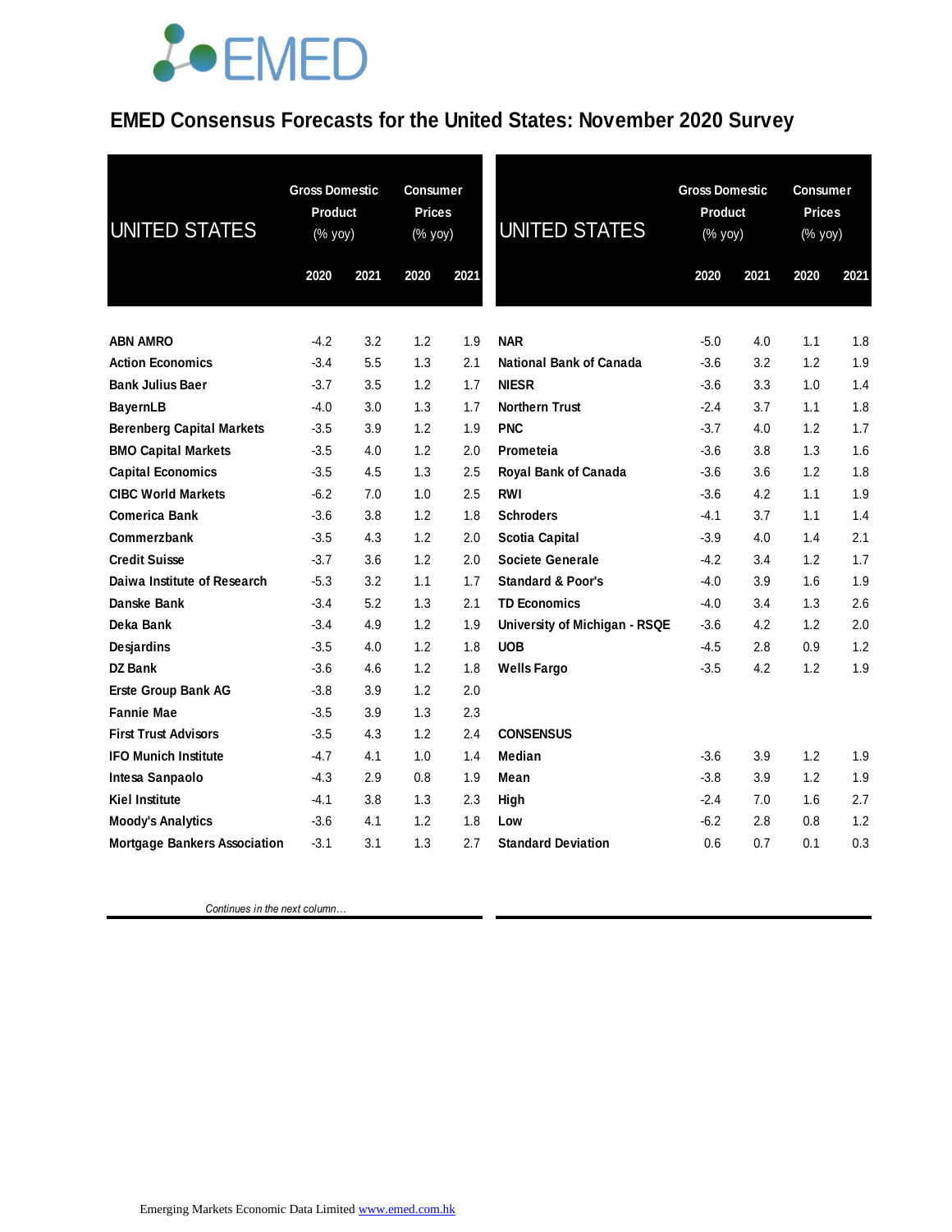## **JOEMED**

#### **EMED Consensus Forecasts for the United States: November 2020 Survey**

| <b>UNITED STATES</b>                | <b>Gross Domestic</b><br><b>Product</b><br>(% yoy) |      | Consumer<br><b>Prices</b><br>(% yoy) |      | <b>UNITED STATES</b>          | <b>Gross Domestic</b><br><b>Product</b><br>(% yoy) |      | <b>Consumer</b><br><b>Prices</b><br>$(\%$ yoy) |      |
|-------------------------------------|----------------------------------------------------|------|--------------------------------------|------|-------------------------------|----------------------------------------------------|------|------------------------------------------------|------|
|                                     | 2020                                               | 2021 | 2020                                 | 2021 |                               | 2020                                               | 2021 | 2020                                           | 2021 |
| <b>ABN AMRO</b>                     | $-4.2$                                             | 3.2  | 1.2                                  | 1.9  | <b>NAR</b>                    | $-5.0$                                             | 4.0  | 1.1                                            | 1.8  |
| <b>Action Economics</b>             | $-3.4$                                             | 5.5  | 1.3                                  | 2.1  | National Bank of Canada       | $-3.6$                                             | 3.2  | 1.2                                            | 1.9  |
| <b>Bank Julius Baer</b>             | $-3.7$                                             | 3.5  | 1.2                                  | 1.7  | <b>NIESR</b>                  | $-3.6$                                             | 3.3  | 1.0                                            | 1.4  |
| <b>BayernLB</b>                     | $-4.0$                                             | 3.0  | 1.3                                  | 1.7  | <b>Northern Trust</b>         | $-2.4$                                             | 3.7  | 1.1                                            | 1.8  |
| <b>Berenberg Capital Markets</b>    | $-3.5$                                             | 3.9  | 1.2                                  | 1.9  | <b>PNC</b>                    | $-3.7$                                             | 4.0  | 1.2                                            | 1.7  |
| <b>BMO Capital Markets</b>          | $-3.5$                                             | 4.0  | 1.2                                  | 2.0  | Prometeia                     | $-3.6$                                             | 3.8  | 1.3                                            | 1.6  |
| <b>Capital Economics</b>            | $-3.5$                                             | 4.5  | 1.3                                  | 2.5  | Royal Bank of Canada          | $-3.6$                                             | 3.6  | 1.2                                            | 1.8  |
| <b>CIBC World Markets</b>           | $-6.2$                                             | 7.0  | 1.0                                  | 2.5  | <b>RWI</b>                    | $-3.6$                                             | 4.2  | 1.1                                            | 1.9  |
| <b>Comerica Bank</b>                | $-3.6$                                             | 3.8  | 1.2                                  | 1.8  | <b>Schroders</b>              | $-4.1$                                             | 3.7  | 1.1                                            | 1.4  |
| Commerzbank                         | $-3.5$                                             | 4.3  | 1.2                                  | 2.0  | <b>Scotia Capital</b>         | $-3.9$                                             | 4.0  | 1.4                                            | 2.1  |
| <b>Credit Suisse</b>                | $-3.7$                                             | 3.6  | 1.2                                  | 2.0  | <b>Societe Generale</b>       | $-4.2$                                             | 3.4  | 1.2                                            | 1.7  |
| Daiwa Institute of Research         | $-5.3$                                             | 3.2  | 1.1                                  | 1.7  | <b>Standard &amp; Poor's</b>  | $-4.0$                                             | 3.9  | 1.6                                            | 1.9  |
| Danske Bank                         | $-3.4$                                             | 5.2  | 1.3                                  | 2.1  | <b>TD Economics</b>           | $-4.0$                                             | 3.4  | 1.3                                            | 2.6  |
| Deka Bank                           | $-3.4$                                             | 4.9  | 1.2                                  | 1.9  | University of Michigan - RSQE | $-3.6$                                             | 4.2  | 1.2                                            | 2.0  |
| Desjardins                          | $-3.5$                                             | 4.0  | 1.2                                  | 1.8  | <b>UOB</b>                    | $-4.5$                                             | 2.8  | 0.9                                            | 1.2  |
| DZ Bank                             | $-3.6$                                             | 4.6  | 1.2                                  | 1.8  | <b>Wells Fargo</b>            | $-3.5$                                             | 4.2  | 1.2                                            | 1.9  |
| Erste Group Bank AG                 | $-3.8$                                             | 3.9  | 1.2                                  | 2.0  |                               |                                                    |      |                                                |      |
| <b>Fannie Mae</b>                   | $-3.5$                                             | 3.9  | 1.3                                  | 2.3  |                               |                                                    |      |                                                |      |
| <b>First Trust Advisors</b>         | $-3.5$                                             | 4.3  | 1.2                                  | 2.4  | <b>CONSENSUS</b>              |                                                    |      |                                                |      |
| <b>IFO Munich Institute</b>         | $-4.7$                                             | 4.1  | 1.0                                  | 1.4  | Median                        | $-3.6$                                             | 3.9  | 1.2                                            | 1.9  |
| Intesa Sanpaolo                     | -4.3                                               | 2.9  | 0.8                                  | 1.9  | Mean                          | $-3.8$                                             | 3.9  | 1.2                                            | 1.9  |
| <b>Kiel Institute</b>               | $-4.1$                                             | 3.8  | 1.3                                  | 2.3  | High                          | $-2.4$                                             | 7.0  | 1.6                                            | 2.7  |
| <b>Moody's Analytics</b>            | $-3.6$                                             | 4.1  | 1.2                                  | 1.8  | Low                           | $-6.2$                                             | 2.8  | 0.8                                            | 1.2  |
| <b>Mortgage Bankers Association</b> | $-3.1$                                             | 3.1  | 1.3                                  | 2.7  | <b>Standard Deviation</b>     | 0.6                                                | 0.7  | 0.1                                            | 0.3  |

 *Continues in the next column…*

Emerging Markets Economic Data Limited www.emed.com.hk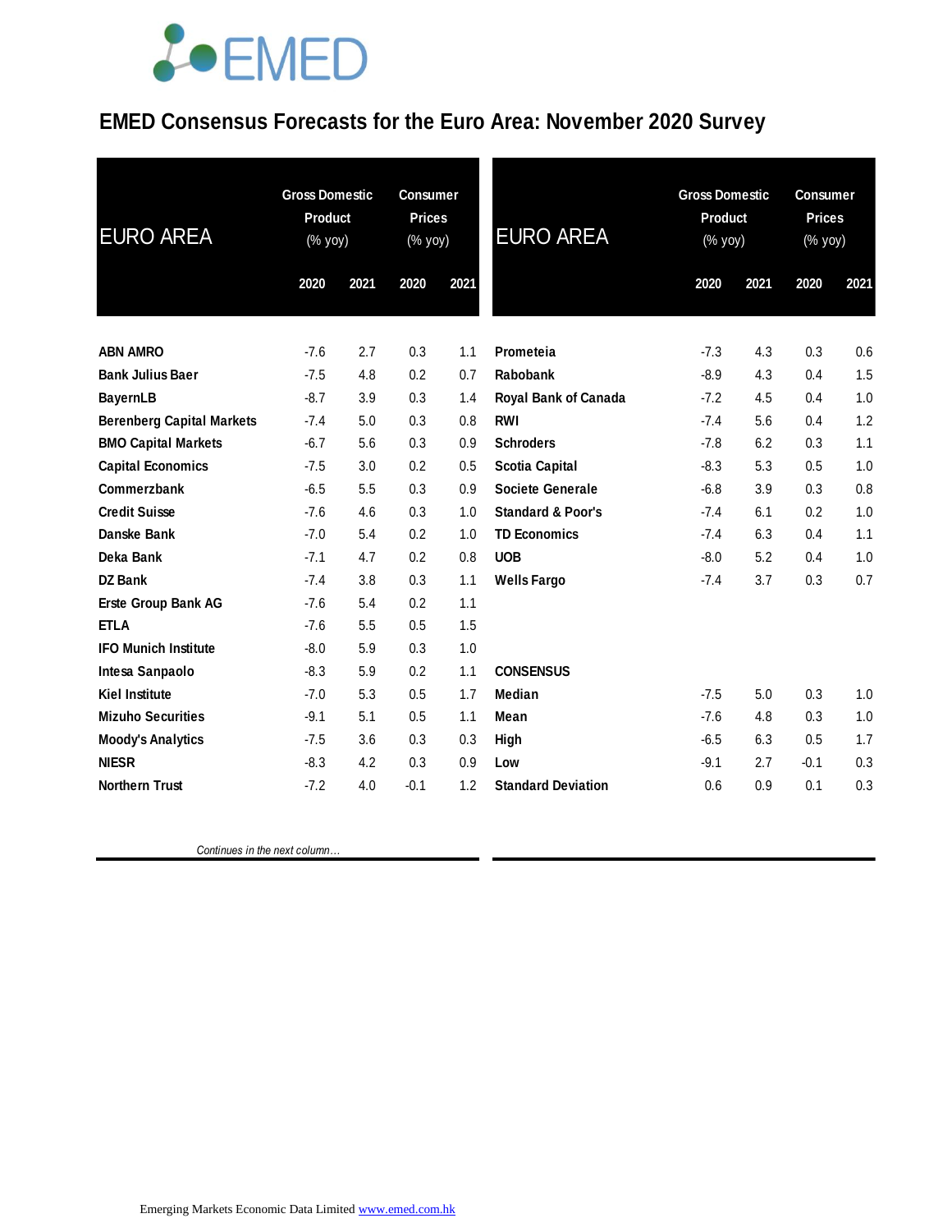## **JOEMED**

### **EMED Consensus Forecasts for the Euro Area: November 2020 Survey**

| <b>EURO AREA</b>                 | <b>Gross Domestic</b><br><b>Product</b><br>(% yoy) |      | <b>Consumer</b><br><b>Prices</b><br>(% yoy) |      | <b>EURO AREA</b>             | <b>Gross Domestic</b><br>Product<br>$(\%$ yoy) |      | <b>Consumer</b><br><b>Prices</b><br>(% yoy) |      |
|----------------------------------|----------------------------------------------------|------|---------------------------------------------|------|------------------------------|------------------------------------------------|------|---------------------------------------------|------|
|                                  | 2020                                               | 2021 | 2020                                        | 2021 |                              | 2020                                           | 2021 | 2020                                        | 2021 |
|                                  |                                                    |      |                                             |      |                              |                                                |      |                                             |      |
| <b>ABN AMRO</b>                  | $-7.6$                                             | 2.7  | 0.3                                         | 1.1  | Prometeia                    | $-7.3$                                         | 4.3  | 0.3                                         | 0.6  |
| <b>Bank Julius Baer</b>          | $-7.5$                                             | 4.8  | 0.2                                         | 0.7  | Rabobank                     | $-8.9$                                         | 4.3  | 0.4                                         | 1.5  |
| <b>BayernLB</b>                  | $-8.7$                                             | 3.9  | 0.3                                         | 1.4  | Royal Bank of Canada         | $-7.2$                                         | 4.5  | 0.4                                         | 1.0  |
| <b>Berenberg Capital Markets</b> | $-7.4$                                             | 5.0  | 0.3                                         | 0.8  | <b>RWI</b>                   | $-7.4$                                         | 5.6  | 0.4                                         | 1.2  |
| <b>BMO Capital Markets</b>       | $-6.7$                                             | 5.6  | 0.3                                         | 0.9  | <b>Schroders</b>             | $-7.8$                                         | 6.2  | 0.3                                         | 1.1  |
| <b>Capital Economics</b>         | $-7.5$                                             | 3.0  | 0.2                                         | 0.5  | <b>Scotia Capital</b>        | $-8.3$                                         | 5.3  | 0.5                                         | 1.0  |
| Commerzbank                      | $-6.5$                                             | 5.5  | 0.3                                         | 0.9  | <b>Societe Generale</b>      | $-6.8$                                         | 3.9  | 0.3                                         | 0.8  |
| <b>Credit Suisse</b>             | $-7.6$                                             | 4.6  | 0.3                                         | 1.0  | <b>Standard &amp; Poor's</b> | $-7.4$                                         | 6.1  | 0.2                                         | 1.0  |
| Danske Bank                      | $-7.0$                                             | 5.4  | 0.2                                         | 1.0  | <b>TD Economics</b>          | $-7.4$                                         | 6.3  | 0.4                                         | 1.1  |
| Deka Bank                        | $-7.1$                                             | 4.7  | 0.2                                         | 0.8  | <b>UOB</b>                   | $-8.0$                                         | 5.2  | 0.4                                         | 1.0  |
| <b>DZ Bank</b>                   | $-7.4$                                             | 3.8  | 0.3                                         | 1.1  | <b>Wells Fargo</b>           | $-7.4$                                         | 3.7  | 0.3                                         | 0.7  |
| <b>Erste Group Bank AG</b>       | $-7.6$                                             | 5.4  | 0.2                                         | 1.1  |                              |                                                |      |                                             |      |
| <b>ETLA</b>                      | $-7.6$                                             | 5.5  | 0.5                                         | 1.5  |                              |                                                |      |                                             |      |
| <b>IFO Munich Institute</b>      | $-8.0$                                             | 5.9  | 0.3                                         | 1.0  |                              |                                                |      |                                             |      |
| Intesa Sanpaolo                  | $-8.3$                                             | 5.9  | 0.2                                         | 1.1  | <b>CONSENSUS</b>             |                                                |      |                                             |      |
| <b>Kiel Institute</b>            | $-7.0$                                             | 5.3  | 0.5                                         | 1.7  | <b>Median</b>                | $-7.5$                                         | 5.0  | 0.3                                         | 1.0  |
| <b>Mizuho Securities</b>         | $-9.1$                                             | 5.1  | 0.5                                         | 1.1  | Mean                         | $-7.6$                                         | 4.8  | 0.3                                         | 1.0  |
| <b>Moody's Analytics</b>         | $-7.5$                                             | 3.6  | 0.3                                         | 0.3  | High                         | $-6.5$                                         | 6.3  | 0.5                                         | 1.7  |
| <b>NIESR</b>                     | $-8.3$                                             | 4.2  | 0.3                                         | 0.9  | Low                          | $-9.1$                                         | 2.7  | $-0.1$                                      | 0.3  |
| <b>Northern Trust</b>            | $-7.2$                                             | 4.0  | $-0.1$                                      | 1.2  | <b>Standard Deviation</b>    | 0.6                                            | 0.9  | 0.1                                         | 0.3  |

 *Continues in the next column…*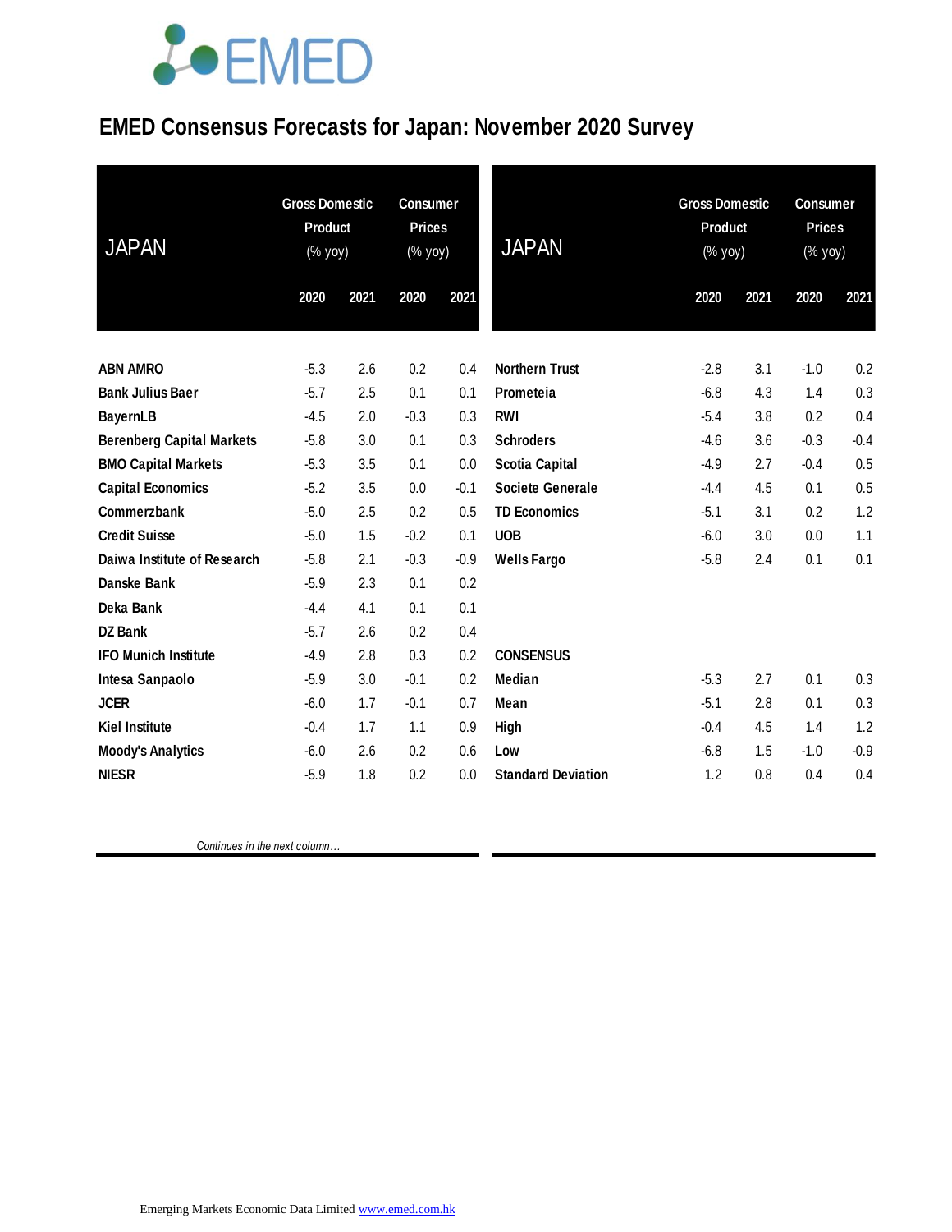# LOEMED

### **EMED Consensus Forecasts for Japan: November 2020 Survey**

| <b>JAPAN</b>                     | <b>Gross Domestic</b><br><b>Product</b><br>(% yoy) |      | <b>Consumer</b><br><b>Prices</b><br>$(% \mathsf{Y}^{\prime }\mathsf{Y}^{\prime }\mathsf{Y}^{\prime })$ |        | <b>JAPAN</b>              | <b>Gross Domestic</b><br>Product<br>(% yoy) |      | <b>Consumer</b><br><b>Prices</b><br>(% yoy) |        |
|----------------------------------|----------------------------------------------------|------|--------------------------------------------------------------------------------------------------------|--------|---------------------------|---------------------------------------------|------|---------------------------------------------|--------|
|                                  | 2020                                               | 2021 | 2020                                                                                                   | 2021   |                           | 2020                                        | 2021 | 2020                                        | 2021   |
| <b>ABN AMRO</b>                  | $-5.3$                                             | 2.6  | 0.2                                                                                                    | 0.4    | <b>Northern Trust</b>     | $-2.8$                                      | 3.1  | $-1.0$                                      | 0.2    |
| <b>Bank Julius Baer</b>          | $-5.7$                                             | 2.5  | 0.1                                                                                                    | 0.1    | Prometeia                 | $-6.8$                                      | 4.3  | 1.4                                         | 0.3    |
| <b>BayernLB</b>                  | $-4.5$                                             | 2.0  | $-0.3$                                                                                                 | 0.3    | <b>RWI</b>                | $-5.4$                                      | 3.8  | 0.2                                         | 0.4    |
| <b>Berenberg Capital Markets</b> | $-5.8$                                             | 3.0  | 0.1                                                                                                    | 0.3    | <b>Schroders</b>          | $-4.6$                                      | 3.6  | $-0.3$                                      | $-0.4$ |
| <b>BMO Capital Markets</b>       | $-5.3$                                             | 3.5  | 0.1                                                                                                    | 0.0    | <b>Scotia Capital</b>     | $-4.9$                                      | 2.7  | $-0.4$                                      | 0.5    |
| <b>Capital Economics</b>         | $-5.2$                                             | 3.5  | 0.0                                                                                                    | $-0.1$ | <b>Societe Generale</b>   | $-4.4$                                      | 4.5  | 0.1                                         | 0.5    |
| Commerzbank                      | $-5.0$                                             | 2.5  | 0.2                                                                                                    | 0.5    | <b>TD Economics</b>       | $-5.1$                                      | 3.1  | 0.2                                         | 1.2    |
| <b>Credit Suisse</b>             | $-5.0$                                             | 1.5  | $-0.2$                                                                                                 | 0.1    | <b>UOB</b>                | $-6.0$                                      | 3.0  | 0.0                                         | 1.1    |
| Daiwa Institute of Research      | $-5.8$                                             | 2.1  | $-0.3$                                                                                                 | $-0.9$ | <b>Wells Fargo</b>        | $-5.8$                                      | 2.4  | 0.1                                         | 0.1    |
| Danske Bank                      | $-5.9$                                             | 2.3  | 0.1                                                                                                    | 0.2    |                           |                                             |      |                                             |        |
| Deka Bank                        | $-4.4$                                             | 4.1  | 0.1                                                                                                    | 0.1    |                           |                                             |      |                                             |        |
| <b>DZ Bank</b>                   | $-5.7$                                             | 2.6  | 0.2                                                                                                    | 0.4    |                           |                                             |      |                                             |        |
| <b>IFO Munich Institute</b>      | $-4.9$                                             | 2.8  | 0.3                                                                                                    | 0.2    | <b>CONSENSUS</b>          |                                             |      |                                             |        |
| Intesa Sanpaolo                  | $-5.9$                                             | 3.0  | $-0.1$                                                                                                 | 0.2    | Median                    | $-5.3$                                      | 2.7  | 0.1                                         | 0.3    |
| <b>JCER</b>                      | $-6.0$                                             | 1.7  | $-0.1$                                                                                                 | 0.7    | Mean                      | $-5.1$                                      | 2.8  | 0.1                                         | 0.3    |
| <b>Kiel Institute</b>            | $-0.4$                                             | 1.7  | 1.1                                                                                                    | 0.9    | High                      | $-0.4$                                      | 4.5  | 1.4                                         | 1.2    |
| <b>Moody's Analytics</b>         | $-6.0$                                             | 2.6  | 0.2                                                                                                    | 0.6    | Low                       | $-6.8$                                      | 1.5  | $-1.0$                                      | $-0.9$ |
| <b>NIESR</b>                     | $-5.9$                                             | 1.8  | 0.2                                                                                                    | 0.0    | <b>Standard Deviation</b> | 1.2                                         | 0.8  | 0.4                                         | 0.4    |

 *Continues in the next column…*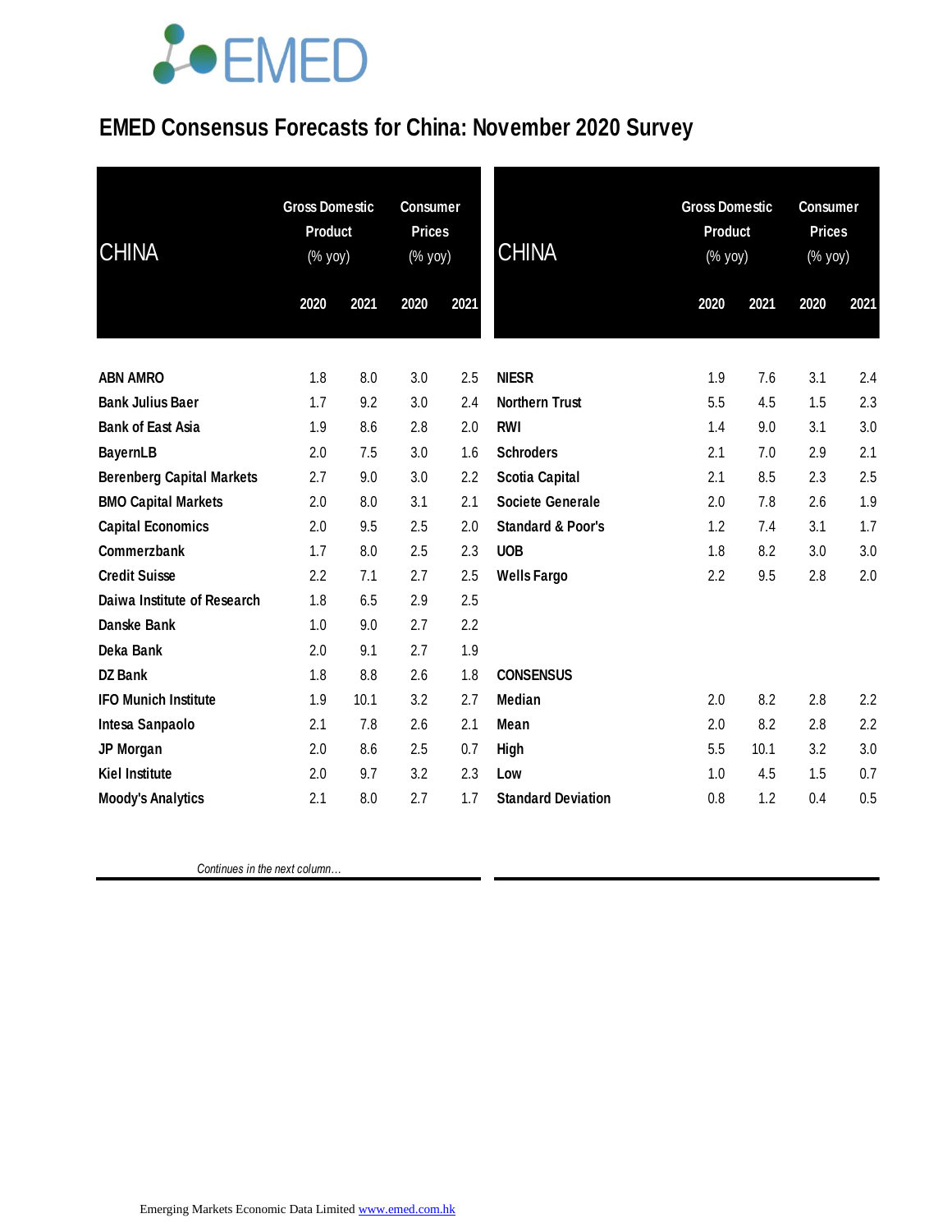# **JOEMED**

### **EMED Consensus Forecasts for China: November 2020 Survey**

| <b>CHINA</b>                     | <b>Gross Domestic</b><br><b>Product</b><br>(% yoy) |      | <b>Consumer</b><br><b>Prices</b><br>(% yoy) |      | <b>CHINA</b>                 | <b>Gross Domestic</b><br><b>Product</b><br>(% yoy) |      | <b>Consumer</b><br><b>Prices</b><br>(% yoy) |      |
|----------------------------------|----------------------------------------------------|------|---------------------------------------------|------|------------------------------|----------------------------------------------------|------|---------------------------------------------|------|
|                                  | 2020                                               | 2021 | 2020                                        | 2021 |                              | 2020                                               | 2021 | 2020                                        | 2021 |
|                                  |                                                    |      |                                             |      |                              |                                                    |      |                                             |      |
| <b>ABN AMRO</b>                  | 1.8                                                | 8.0  | 3.0                                         | 2.5  | <b>NIESR</b>                 | 1.9                                                | 7.6  | 3.1                                         | 2.4  |
| <b>Bank Julius Baer</b>          | 1.7                                                | 9.2  | 3.0                                         | 2.4  | <b>Northern Trust</b>        | 5.5                                                | 4.5  | 1.5                                         | 2.3  |
| <b>Bank of East Asia</b>         | 1.9                                                | 8.6  | 2.8                                         | 2.0  | <b>RWI</b>                   | 1.4                                                | 9.0  | 3.1                                         | 3.0  |
| <b>BayernLB</b>                  | 2.0                                                | 7.5  | 3.0                                         | 1.6  | <b>Schroders</b>             | 2.1                                                | 7.0  | 2.9                                         | 2.1  |
| <b>Berenberg Capital Markets</b> | 2.7                                                | 9.0  | 3.0                                         | 2.2  | <b>Scotia Capital</b>        | 2.1                                                | 8.5  | 2.3                                         | 2.5  |
| <b>BMO Capital Markets</b>       | 2.0                                                | 8.0  | 3.1                                         | 2.1  | <b>Societe Generale</b>      | 2.0                                                | 7.8  | 2.6                                         | 1.9  |
| <b>Capital Economics</b>         | 2.0                                                | 9.5  | 2.5                                         | 2.0  | <b>Standard &amp; Poor's</b> | 1.2                                                | 7.4  | 3.1                                         | 1.7  |
| Commerzbank                      | 1.7                                                | 8.0  | 2.5                                         | 2.3  | <b>UOB</b>                   | 1.8                                                | 8.2  | 3.0                                         | 3.0  |
| <b>Credit Suisse</b>             | 2.2                                                | 7.1  | 2.7                                         | 2.5  | <b>Wells Fargo</b>           | 2.2                                                | 9.5  | 2.8                                         | 2.0  |
| Daiwa Institute of Research      | 1.8                                                | 6.5  | 2.9                                         | 2.5  |                              |                                                    |      |                                             |      |
| Danske Bank                      | 1.0                                                | 9.0  | 2.7                                         | 2.2  |                              |                                                    |      |                                             |      |
| Deka Bank                        | 2.0                                                | 9.1  | 2.7                                         | 1.9  |                              |                                                    |      |                                             |      |
| <b>DZ Bank</b>                   | 1.8                                                | 8.8  | 2.6                                         | 1.8  | <b>CONSENSUS</b>             |                                                    |      |                                             |      |
| <b>IFO Munich Institute</b>      | 1.9                                                | 10.1 | 3.2                                         | 2.7  | <b>Median</b>                | 2.0                                                | 8.2  | 2.8                                         | 2.2  |
| Intesa Sanpaolo                  | 2.1                                                | 7.8  | 2.6                                         | 2.1  | Mean                         | 2.0                                                | 8.2  | 2.8                                         | 2.2  |
| JP Morgan                        | 2.0                                                | 8.6  | 2.5                                         | 0.7  | High                         | 5.5                                                | 10.1 | 3.2                                         | 3.0  |
| <b>Kiel Institute</b>            | 2.0                                                | 9.7  | 3.2                                         | 2.3  | Low                          | 1.0                                                | 4.5  | 1.5                                         | 0.7  |
| <b>Moody's Analytics</b>         | 2.1                                                | 8.0  | 2.7                                         | 1.7  | <b>Standard Deviation</b>    | 0.8                                                | 1.2  | 0.4                                         | 0.5  |

 *Continues in the next column…*